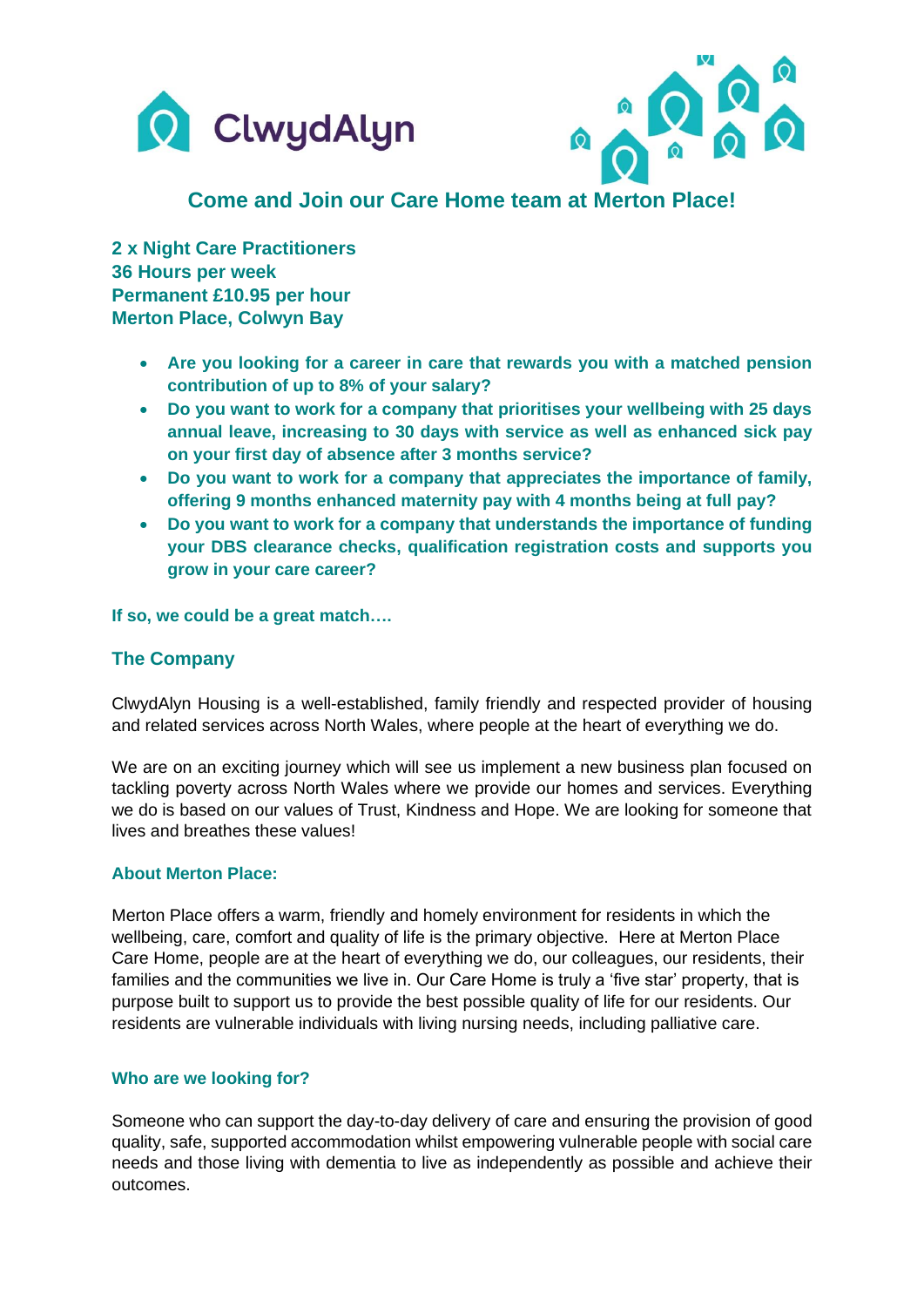



# **Come and Join our Care Home team at Merton Place!**

**2 x Night Care Practitioners 36 Hours per week Permanent £10.95 per hour Merton Place, Colwyn Bay**

- **Are you looking for a career in care that rewards you with a matched pension contribution of up to 8% of your salary?**
- **Do you want to work for a company that prioritises your wellbeing with 25 days annual leave, increasing to 30 days with service as well as enhanced sick pay on your first day of absence after 3 months service?**
- **Do you want to work for a company that appreciates the importance of family, offering 9 months enhanced maternity pay with 4 months being at full pay?**
- **Do you want to work for a company that understands the importance of funding your DBS clearance checks, qualification registration costs and supports you grow in your care career?**

**If so, we could be a great match….**

# **The Company**

ClwydAlyn Housing is a well-established, family friendly and respected provider of housing and related services across North Wales, where people at the heart of everything we do.

We are on an exciting journey which will see us implement a new business plan focused on tackling poverty across North Wales where we provide our homes and services. Everything we do is based on our values of Trust, Kindness and Hope. We are looking for someone that lives and breathes these values!

## **About Merton Place:**

Merton Place offers a warm, friendly and homely environment for residents in which the wellbeing, care, comfort and quality of life is the primary objective. Here at Merton Place Care Home, people are at the heart of everything we do, our colleagues, our residents, their families and the communities we live in. Our Care Home is truly a 'five star' property, that is purpose built to support us to provide the best possible quality of life for our residents. Our residents are vulnerable individuals with living nursing needs, including palliative care.

## **Who are we looking for?**

Someone who can support the day-to-day delivery of care and ensuring the provision of good quality, safe, supported accommodation whilst empowering vulnerable people with social care needs and those living with dementia to live as independently as possible and achieve their outcomes.